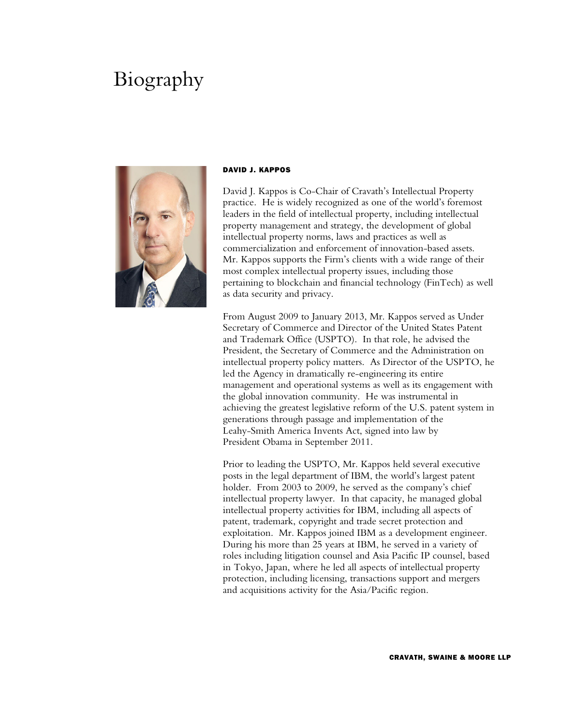## Biography



## DAVID J. KAPPOS

David J. Kappos is Co-Chair of Cravath's Intellectual Property practice. He is widely recognized as one of the world's foremost leaders in the field of intellectual property, including intellectual property management and strategy, the development of global intellectual property norms, laws and practices as well as commercialization and enforcement of innovation-based assets. Mr. Kappos supports the Firm's clients with a wide range of their most complex intellectual property issues, including those pertaining to blockchain and financial technology (FinTech) as well as data security and privacy.

From August 2009 to January 2013, Mr. Kappos served as Under Secretary of Commerce and Director of the United States Patent and Trademark Office (USPTO). In that role, he advised the President, the Secretary of Commerce and the Administration on intellectual property policy matters. As Director of the USPTO, he led the Agency in dramatically re-engineering its entire management and operational systems as well as its engagement with the global innovation community. He was instrumental in achieving the greatest legislative reform of the U.S. patent system in generations through passage and implementation of the Leahy-Smith America Invents Act, signed into law by President Obama in September 2011.

Prior to leading the USPTO, Mr. Kappos held several executive posts in the legal department of IBM, the world's largest patent holder. From 2003 to 2009, he served as the company's chief intellectual property lawyer. In that capacity, he managed global intellectual property activities for IBM, including all aspects of patent, trademark, copyright and trade secret protection and exploitation. Mr. Kappos joined IBM as a development engineer. During his more than 25 years at IBM, he served in a variety of roles including litigation counsel and Asia Pacific IP counsel, based in Tokyo, Japan, where he led all aspects of intellectual property protection, including licensing, transactions support and mergers and acquisitions activity for the Asia/Pacific region.